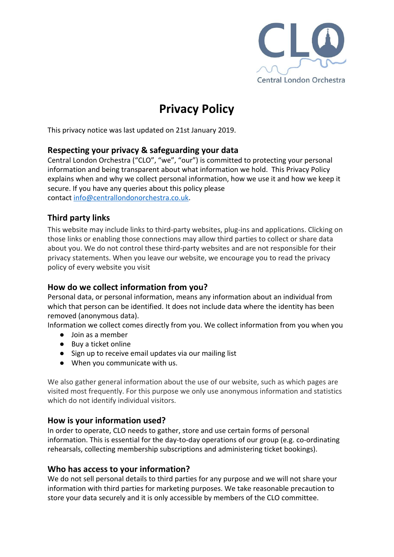

# **Privacy Policy**

This privacy notice was last updated on 21st January 2019.

### **Respecting your privacy & safeguarding your data**

Central London Orchestra ("CLO", "we", "our") is committed to protecting your personal information and being transparent about what information we hold. This Privacy Policy explains when and why we collect personal information, how we use it and how we keep it secure. If you have any queries about this policy please contact [info@centrallondonorchestra.co.uk](mailto:info@centrallondonorchestra.co.uk).

# **Third party links**

This website may include links to third-party websites, plug-ins and applications. Clicking on those links or enabling those connections may allow third parties to collect or share data about you. We do not control these third-party websites and are not responsible for their privacy statements. When you leave our website, we encourage you to read the privacy policy of every website you visit

# **How do we collect information from you?**

Personal data, or personal information, means any information about an individual from which that person can be identified. It does not include data where the identity has been removed (anonymous data).

Information we collect comes directly from you. We collect information from you when you

- Join as a member
- Buy a ticket online
- Sign up to receive email updates via our mailing list
- When you communicate with us.

We also gather general information about the use of our website, such as which pages are visited most frequently. For this purpose we only use anonymous information and statistics which do not identify individual visitors.

#### **How is your information used?**

In order to operate, CLO needs to gather, store and use certain forms of personal information. This is essential for the day-to-day operations of our group (e.g. co-ordinating rehearsals, collecting membership subscriptions and administering ticket bookings).

# **Who has access to your information?**

We do not sell personal details to third parties for any purpose and we will not share your information with third parties for marketing purposes. We take reasonable precaution to store your data securely and it is only accessible by members of the CLO committee.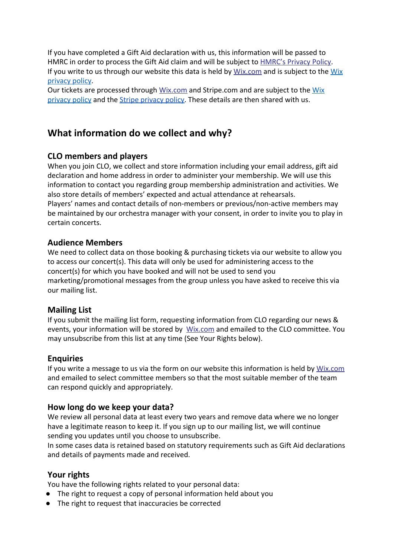If you have completed a Gift Aid declaration with us, this information will be passed to HMRC in order to process the Gift Aid claim and will be subject to **[HMRC's Privacy Policy](https://www.gov.uk/government/publications/data-protection-act-dpa-information-hm-revenue-and-customs-hold-about-you)**. If you write to us through our website this data is held by [Wix.com](https://www.wix.com/) and is subject to the [Wix](https://www.wix.com/about/privacy) [privacy policy](https://www.wix.com/about/privacy).

Our tickets are processed through [Wix.com](https://www.wix.com/) and Stripe.com and are subject to the [Wix](https://www.wix.com/about/privacy) [privacy policy](https://www.wix.com/about/privacy) and the [Stripe privacy policy](https://stripe.com/gb/privacy). These details are then shared with us.

# **What information do we collect and why?**

# **CLO members and players**

When you join CLO, we collect and store information including your email address, gift aid declaration and home address in order to administer your membership. We will use this information to contact you regarding group membership administration and activities. We also store details of members' expected and actual attendance at rehearsals. Players' names and contact details of non-members or previous/non-active members may be maintained by our orchestra manager with your consent, in order to invite you to play in certain concerts.

### **Audience Members**

We need to collect data on those booking & purchasing tickets via our website to allow you to access our concert(s). This data will only be used for administering access to the concert(s) for which you have booked and will not be used to send you marketing/promotional messages from the group unless you have asked to receive this via our mailing list.

# **Mailing List**

If you submit the mailing list form, requesting information from CLO regarding our news & events, your information will be stored by [Wix.com](https://www.wix.com/) and emailed to the CLO committee. You may unsubscribe from this list at any time (See Your Rights below).

# **Enquiries**

If you write a message to us via the form on our website this information is held by [Wix.com](https://www.wix.com/) and emailed to select committee members so that the most suitable member of the team can respond quickly and appropriately.

# **How long do we keep your data?**

We review all personal data at least every two years and remove data where we no longer have a legitimate reason to keep it. If you sign up to our mailing list, we will continue sending you updates until you choose to unsubscribe.

In some cases data is retained based on statutory requirements such as Gift Aid declarations and details of payments made and received.

# **Your rights**

You have the following rights related to your personal data:

- The right to request a copy of personal information held about you
- The right to request that inaccuracies be corrected